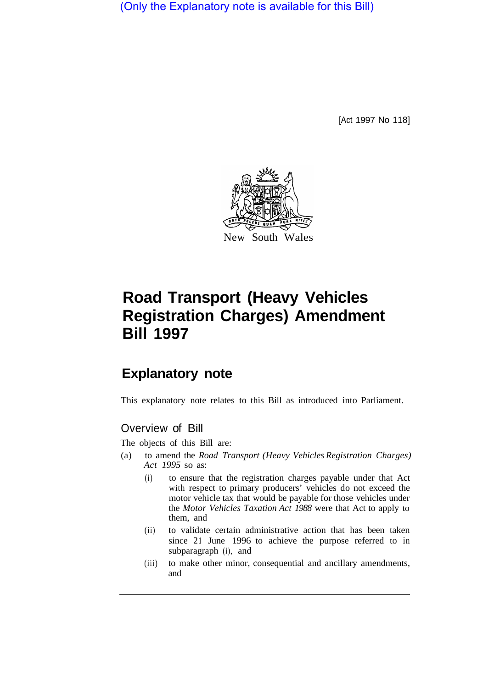(Only the Explanatory note is available for this Bill)

[Act 1997 No 118]



# **Road Transport (Heavy Vehicles Registration Charges) Amendment Bill 1997**

# **Explanatory note**

This explanatory note relates to this Bill as introduced into Parliament.

### Overview of Bill

The objects of this Bill are:

- (a) to amend the *Road Transport (Heavy Vehicles Registration Charges) Act 1995* so as:
	- (i) to ensure that the registration charges payable under that Act with respect to primary producers' vehicles do not exceed the motor vehicle tax that would be payable for those vehicles under the *Motor Vehicles Taxation Act 1988* were that Act to apply to them, and
	- (ii) to validate certain administrative action that has been taken since 21 June 1996 to achieve the purpose referred to in subparagraph (i), and
	- (iii) to make other minor, consequential and ancillary amendments, and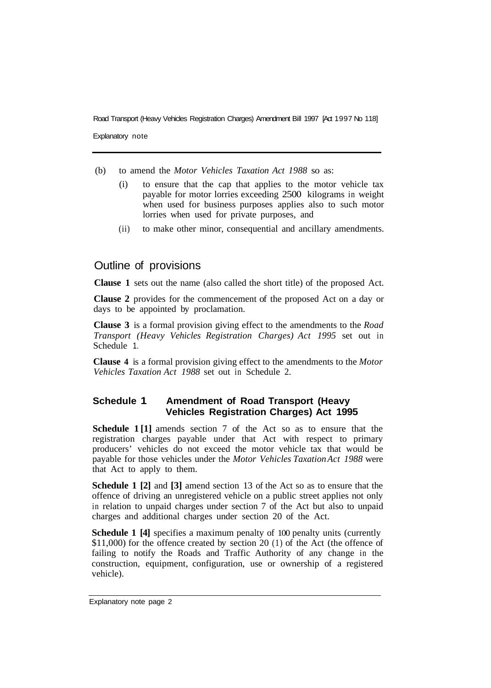Road Transport (Heavy Vehicles Registration Charges) Amendment Bill 1997 [Act 1997 No 118]

Explanatory note

- (b) to amend the *Motor Vehicles Taxation Act 1988* so as:
	- (i) to ensure that the cap that applies to the motor vehicle tax payable for motor lorries exceeding 2500 kilograms in weight when used for business purposes applies also to such motor lorries when used for private purposes, and
	- (ii) to make other minor, consequential and ancillary amendments.

## Outline of provisions

**Clause 1** sets out the name (also called the short title) of the proposed Act.

**Clause 2** provides for the commencement of the proposed Act on a day or days to be appointed by proclamation.

**Clause 3** is a formal provision giving effect to the amendments to the *Road Transport (Heavy Vehicles Registration Charges) Act 1995* set out in Schedule 1.

**Clause 4** is a formal provision giving effect to the amendments to the *Motor Vehicles Taxation Act 1988* set out in Schedule 2.

#### **Schedule 1 Amendment of Road Transport (Heavy Vehicles Registration Charges) Act 1995**

**Schedule 1 [1]** amends section 7 of the Act so as to ensure that the registration charges payable under that Act with respect to primary producers' vehicles do not exceed the motor vehicle tax that would be payable for those vehicles under the *Motor Vehicles Taxation Act 1988* were that Act to apply to them.

**Schedule 1 [2]** and **[3]** amend section 13 of the Act so as to ensure that the offence of driving an unregistered vehicle on a public street applies not only in relation to unpaid charges under section 7 of the Act but also to unpaid charges and additional charges under section 20 of the Act.

**Schedule 1 [4]** specifies a maximum penalty of 100 penalty units (currently \$11,000) for the offence created by section 20 (1) of the Act (the offence of failing to notify the Roads and Traffic Authority of any change in the construction, equipment, configuration, use or ownership of a registered vehicle).